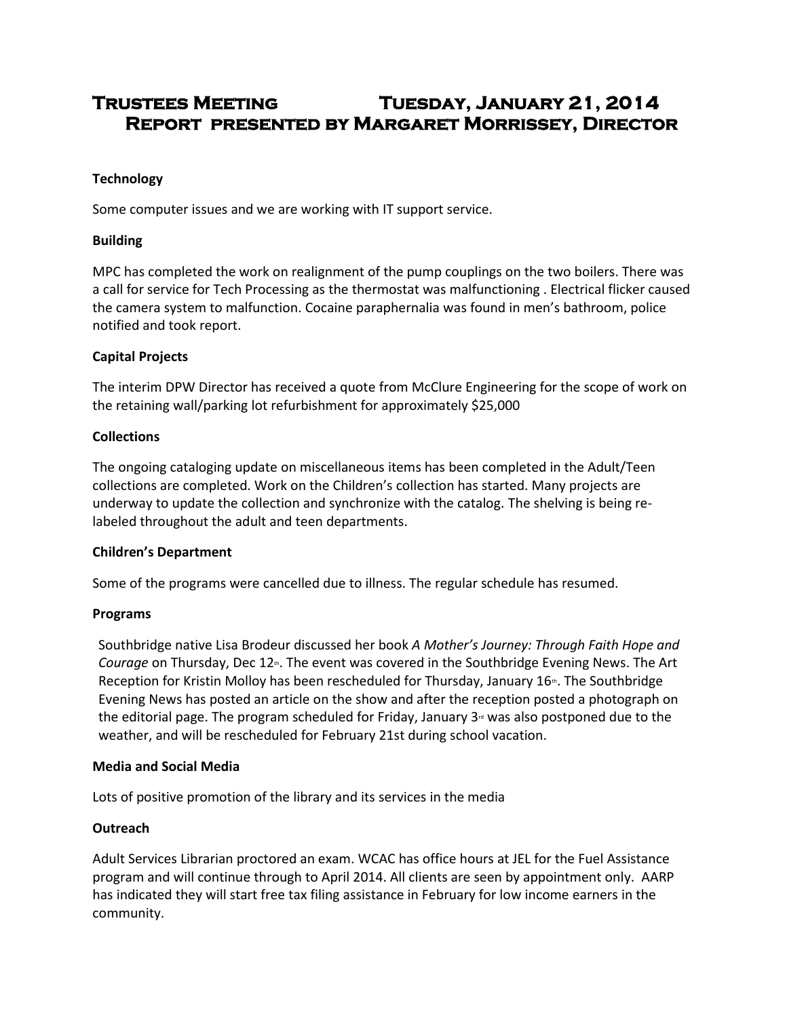# **Trustees Meeting Tuesday, January 21, 2014 Report presented by Margaret Morrissey, Director**

# **Technology**

Some computer issues and we are working with IT support service.

# **Building**

MPC has completed the work on realignment of the pump couplings on the two boilers. There was a call for service for Tech Processing as the thermostat was malfunctioning . Electrical flicker caused the camera system to malfunction. Cocaine paraphernalia was found in men's bathroom, police notified and took report.

## **Capital Projects**

The interim DPW Director has received a quote from McClure Engineering for the scope of work on the retaining wall/parking lot refurbishment for approximately \$25,000

#### **Collections**

The ongoing cataloging update on miscellaneous items has been completed in the Adult/Teen collections are completed. Work on the Children's collection has started. Many projects are underway to update the collection and synchronize with the catalog. The shelving is being relabeled throughout the adult and teen departments.

#### **Children's Department**

Some of the programs were cancelled due to illness. The regular schedule has resumed.

#### **Programs**

Southbridge native Lisa Brodeur discussed her book *A Mother's Journey: Through Faith Hope and Courage* on Thursday, Dec 12<sup>th</sup>. The event was covered in the Southbridge Evening News. The Art Reception for Kristin Molloy has been rescheduled for Thursday, January  $16<sup>th</sup>$ . The Southbridge Evening News has posted an article on the show and after the reception posted a photograph on the editorial page. The program scheduled for Friday, January  $3<sup>d</sup>$  was also postponed due to the weather, and will be rescheduled for February 21st during school vacation.

#### **Media and Social Media**

Lots of positive promotion of the library and its services in the media

# **Outreach**

Adult Services Librarian proctored an exam. WCAC has office hours at JEL for the Fuel Assistance program and will continue through to April 2014. All clients are seen by appointment only. AARP has indicated they will start free tax filing assistance in February for low income earners in the community.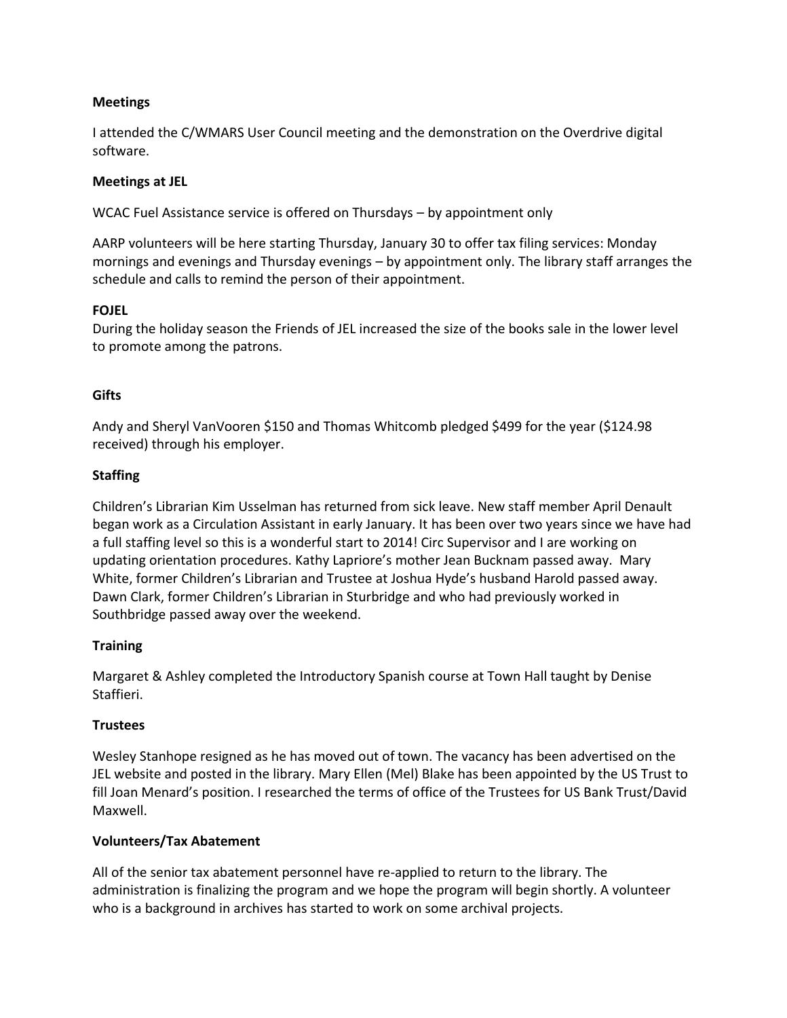## **Meetings**

I attended the C/WMARS User Council meeting and the demonstration on the Overdrive digital software.

### **Meetings at JEL**

WCAC Fuel Assistance service is offered on Thursdays – by appointment only

AARP volunteers will be here starting Thursday, January 30 to offer tax filing services: Monday mornings and evenings and Thursday evenings – by appointment only. The library staff arranges the schedule and calls to remind the person of their appointment.

## **FOJEL**

During the holiday season the Friends of JEL increased the size of the books sale in the lower level to promote among the patrons.

## **Gifts**

Andy and Sheryl VanVooren \$150 and Thomas Whitcomb pledged \$499 for the year (\$124.98 received) through his employer.

## **Staffing**

Children's Librarian Kim Usselman has returned from sick leave. New staff member April Denault began work as a Circulation Assistant in early January. It has been over two years since we have had a full staffing level so this is a wonderful start to 2014! Circ Supervisor and I are working on updating orientation procedures. Kathy Lapriore's mother Jean Bucknam passed away. Mary White, former Children's Librarian and Trustee at Joshua Hyde's husband Harold passed away. Dawn Clark, former Children's Librarian in Sturbridge and who had previously worked in Southbridge passed away over the weekend.

#### **Training**

Margaret & Ashley completed the Introductory Spanish course at Town Hall taught by Denise Staffieri.

# **Trustees**

Wesley Stanhope resigned as he has moved out of town. The vacancy has been advertised on the JEL website and posted in the library. Mary Ellen (Mel) Blake has been appointed by the US Trust to fill Joan Menard's position. I researched the terms of office of the Trustees for US Bank Trust/David Maxwell.

# **Volunteers/Tax Abatement**

All of the senior tax abatement personnel have re-applied to return to the library. The administration is finalizing the program and we hope the program will begin shortly. A volunteer who is a background in archives has started to work on some archival projects.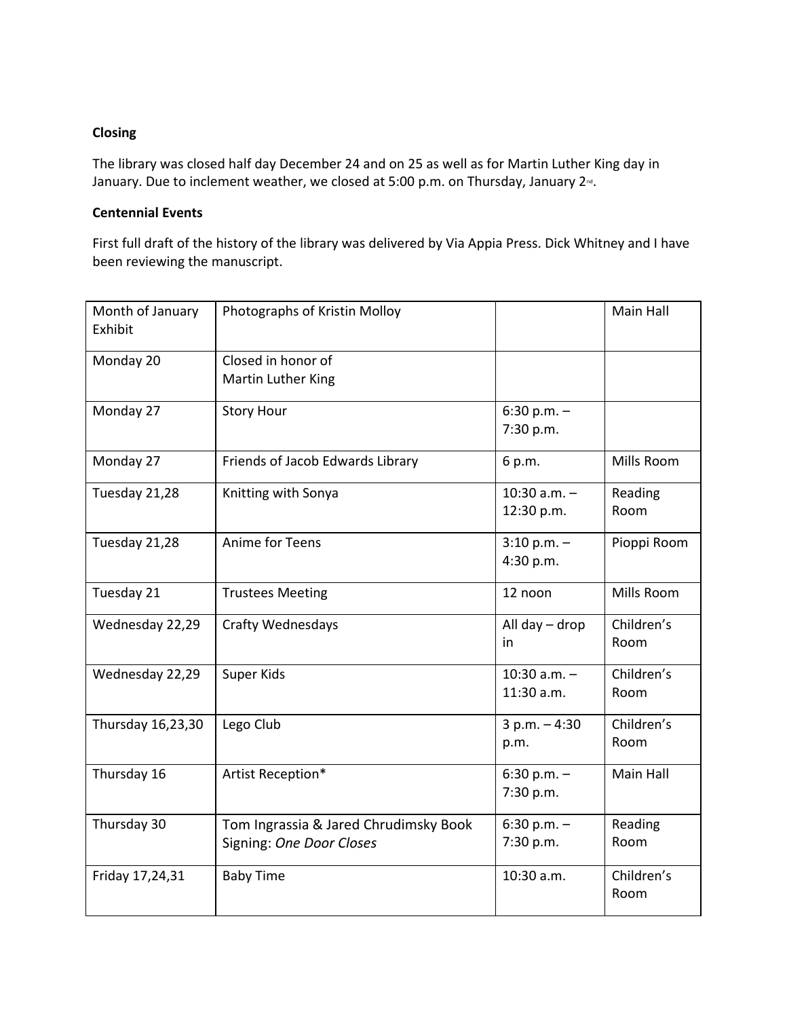## **Closing**

The library was closed half day December 24 and on 25 as well as for Martin Luther King day in January. Due to inclement weather, we closed at 5:00 p.m. on Thursday, January 2<sup>nd</sup>.

# **Centennial Events**

First full draft of the history of the library was delivered by Via Appia Press. Dick Whitney and I have been reviewing the manuscript.

| Month of January<br>Exhibit | Photographs of Kristin Molloy                                     |                              | Main Hall          |
|-----------------------------|-------------------------------------------------------------------|------------------------------|--------------------|
| Monday 20                   | Closed in honor of<br>Martin Luther King                          |                              |                    |
| Monday 27                   | <b>Story Hour</b>                                                 | 6:30 p.m. $-$<br>7:30 p.m.   |                    |
| Monday 27                   | Friends of Jacob Edwards Library                                  | 6 p.m.                       | Mills Room         |
| Tuesday 21,28               | Knitting with Sonya                                               | 10:30 $a.m. -$<br>12:30 p.m. | Reading<br>Room    |
| Tuesday 21,28               | Anime for Teens                                                   | $3:10 p.m. -$<br>4:30 p.m.   | Pioppi Room        |
| Tuesday 21                  | <b>Trustees Meeting</b>                                           | 12 noon                      | Mills Room         |
| Wednesday 22,29             | <b>Crafty Wednesdays</b>                                          | All day - drop<br>in         | Children's<br>Room |
| Wednesday 22,29             | Super Kids                                                        | 10:30 $a.m. -$<br>11:30 a.m. | Children's<br>Room |
| Thursday 16,23,30           | Lego Club                                                         | $3 p.m. - 4:30$<br>p.m.      | Children's<br>Room |
| Thursday 16                 | Artist Reception*                                                 | $6:30 p.m. -$<br>7:30 p.m.   | Main Hall          |
| Thursday 30                 | Tom Ingrassia & Jared Chrudimsky Book<br>Signing: One Door Closes | $6:30 p.m. -$<br>7:30 p.m.   | Reading<br>Room    |
| Friday 17,24,31             | <b>Baby Time</b>                                                  | 10:30 a.m.                   | Children's<br>Room |